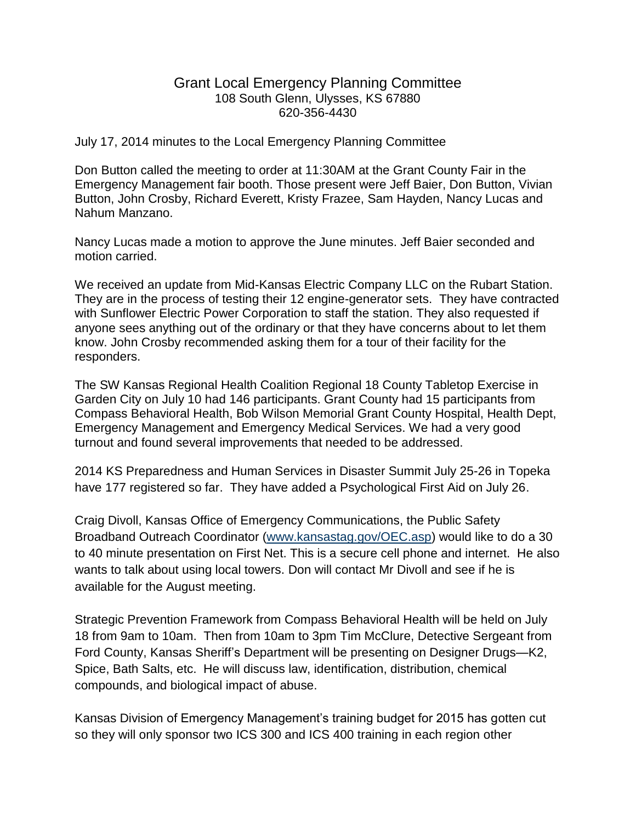## Grant Local Emergency Planning Committee 108 South Glenn, Ulysses, KS 67880 620-356-4430

July 17, 2014 minutes to the Local Emergency Planning Committee

Don Button called the meeting to order at 11:30AM at the Grant County Fair in the Emergency Management fair booth. Those present were Jeff Baier, Don Button, Vivian Button, John Crosby, Richard Everett, Kristy Frazee, Sam Hayden, Nancy Lucas and Nahum Manzano.

Nancy Lucas made a motion to approve the June minutes. Jeff Baier seconded and motion carried.

We received an update from Mid-Kansas Electric Company LLC on the Rubart Station. They are in the process of testing their 12 engine-generator sets. They have contracted with Sunflower Electric Power Corporation to staff the station. They also requested if anyone sees anything out of the ordinary or that they have concerns about to let them know. John Crosby recommended asking them for a tour of their facility for the responders.

The SW Kansas Regional Health Coalition Regional 18 County Tabletop Exercise in Garden City on July 10 had 146 participants. Grant County had 15 participants from Compass Behavioral Health, Bob Wilson Memorial Grant County Hospital, Health Dept, Emergency Management and Emergency Medical Services. We had a very good turnout and found several improvements that needed to be addressed.

2014 KS Preparedness and Human Services in Disaster Summit July 25-26 in Topeka have 177 registered so far. They have added a Psychological First Aid on July 26.

Craig Divoll, Kansas Office of Emergency Communications, the Public Safety Broadband Outreach Coordinator [\(www.kansastag.gov/OEC.asp\)](http://www.kansastag.gov/OEC.asp) would like to do a 30 to 40 minute presentation on First Net. This is a secure cell phone and internet. He also wants to talk about using local towers. Don will contact Mr Divoll and see if he is available for the August meeting.

Strategic Prevention Framework from Compass Behavioral Health will be held on July 18 from 9am to 10am. Then from 10am to 3pm Tim McClure, Detective Sergeant from Ford County, Kansas Sheriff's Department will be presenting on Designer Drugs—K2, Spice, Bath Salts, etc. He will discuss law, identification, distribution, chemical compounds, and biological impact of abuse.

Kansas Division of Emergency Management's training budget for 2015 has gotten cut so they will only sponsor two ICS 300 and ICS 400 training in each region other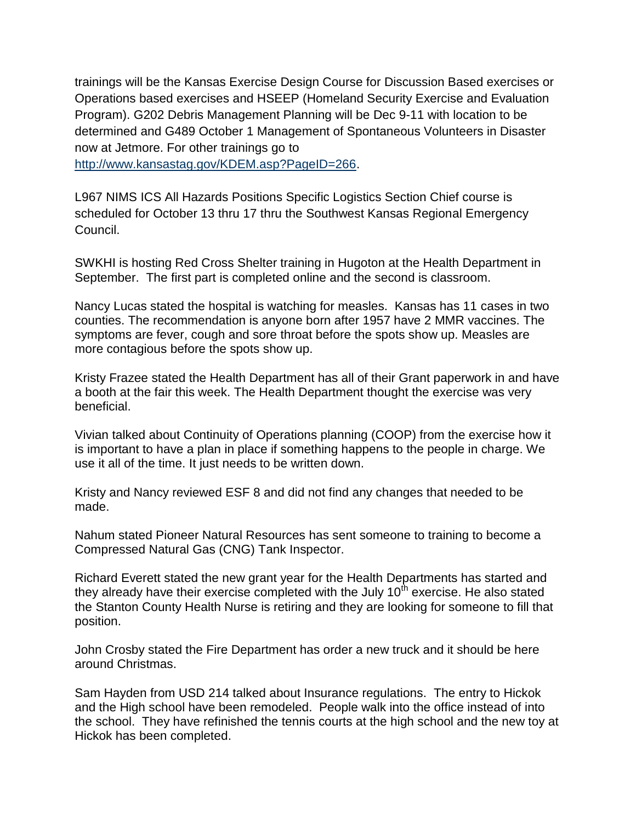trainings will be the Kansas Exercise Design Course for Discussion Based exercises or Operations based exercises and HSEEP (Homeland Security Exercise and Evaluation Program). G202 Debris Management Planning will be Dec 9-11 with location to be determined and G489 October 1 Management of Spontaneous Volunteers in Disaster now at Jetmore. For other trainings go to

[http://www.kansastag.gov/KDEM.asp?PageID=266.](http://www.kansastag.gov/KDEM.asp?PageID=266)

L967 NIMS ICS All Hazards Positions Specific Logistics Section Chief course is scheduled for October 13 thru 17 thru the Southwest Kansas Regional Emergency Council.

SWKHI is hosting Red Cross Shelter training in Hugoton at the Health Department in September. The first part is completed online and the second is classroom.

Nancy Lucas stated the hospital is watching for measles. Kansas has 11 cases in two counties. The recommendation is anyone born after 1957 have 2 MMR vaccines. The symptoms are fever, cough and sore throat before the spots show up. Measles are more contagious before the spots show up.

Kristy Frazee stated the Health Department has all of their Grant paperwork in and have a booth at the fair this week. The Health Department thought the exercise was very beneficial.

Vivian talked about Continuity of Operations planning (COOP) from the exercise how it is important to have a plan in place if something happens to the people in charge. We use it all of the time. It just needs to be written down.

Kristy and Nancy reviewed ESF 8 and did not find any changes that needed to be made.

Nahum stated Pioneer Natural Resources has sent someone to training to become a Compressed Natural Gas (CNG) Tank Inspector.

Richard Everett stated the new grant year for the Health Departments has started and they already have their exercise completed with the July  $10<sup>th</sup>$  exercise. He also stated the Stanton County Health Nurse is retiring and they are looking for someone to fill that position.

John Crosby stated the Fire Department has order a new truck and it should be here around Christmas.

Sam Hayden from USD 214 talked about Insurance regulations. The entry to Hickok and the High school have been remodeled. People walk into the office instead of into the school. They have refinished the tennis courts at the high school and the new toy at Hickok has been completed.